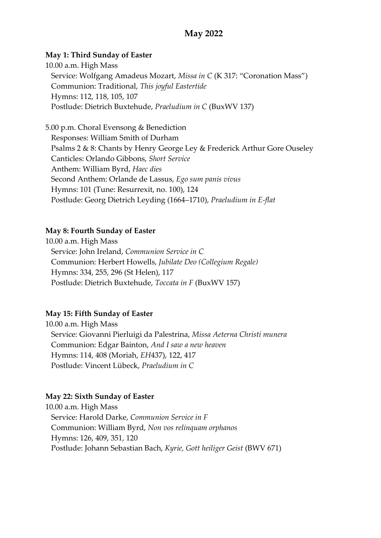# **May 2022**

### **May 1: Third Sunday of Easter**

10.00 a.m. High Mass Service: Wolfgang Amadeus Mozart, *Missa in C* (K 317: "Coronation Mass") Communion: Traditional, *This joyful Eastertide* Hymns: 112, 118, 105, 107 Postlude: Dietrich Buxtehude, *Praeludium in C* (BuxWV 137)

5.00 p.m. Choral Evensong & Benediction Responses: William Smith of Durham Psalms 2 & 8: Chants by Henry George Ley & Frederick Arthur Gore Ouseley Canticles: Orlando Gibbons, *Short Service* Anthem: William Byrd, *Haec dies* Second Anthem: Orlande de Lassus, *Ego sum panis vivus* Hymns: 101 (Tune: Resurrexit, no. 100), 124 Postlude: Georg Dietrich Leyding (1664–1710), *Praeludium in E-flat*

### **May 8: Fourth Sunday of Easter**

10.00 a.m. High Mass Service: John Ireland, *Communion Service in C* Communion: Herbert Howells, *Jubilate Deo (Collegium Regale)* Hymns: 334, 255, 296 (St Helen), 117 Postlude: Dietrich Buxtehude, *Toccata in F* (BuxWV 157)

#### **May 15: Fifth Sunday of Easter**

10.00 a.m. High Mass Service: Giovanni Pierluigi da Palestrina, *Missa Aeterna Christi munera* Communion: Edgar Bainton, *And I saw a new heaven* Hymns: 114, 408 (Moriah, *EH*437), 122, 417 Postlude: Vincent Lübeck, *Praeludium in C*

## **May 22: Sixth Sunday of Easter**

10.00 a.m. High Mass Service: Harold Darke, *Communion Service in F* Communion: William Byrd, *Non vos relinquam orphanos* Hymns: 126, 409, 351, 120 Postlude: Johann Sebastian Bach, *Kyrie, Gott heiliger Geist* (BWV 671)